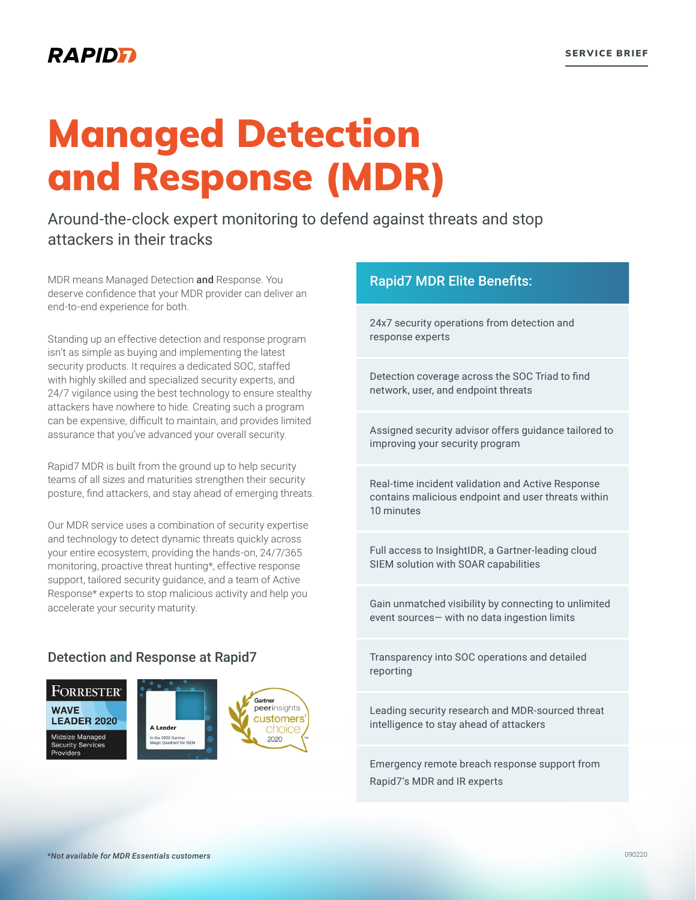### RAPIDFI

# Managed Detection and Response (MDR)

#### Around-the-clock expert monitoring to defend against threats and stop attackers in their tracks

MDR means Managed Detection and Response. You deserve confidence that your MDR provider can deliver an end-to-end experience for both.

Standing up an effective detection and response program isn't as simple as buying and implementing the latest security products. It requires a dedicated SOC, staffed with highly skilled and specialized security experts, and 24/7 vigilance using the best technology to ensure stealthy attackers have nowhere to hide. Creating such a program can be expensive, difficult to maintain, and provides limited assurance that you've advanced your overall security.

Rapid7 MDR is built from the ground up to help security teams of all sizes and maturities strengthen their security posture, find attackers, and stay ahead of emerging threats.

Our MDR service uses a combination of security expertise and technology to detect dynamic threats quickly across your entire ecosystem, providing the hands-on, 24/7/365 monitoring, proactive threat hunting\*, effective response support, tailored security guidance, and a team of Active Response\* experts to stop malicious activity and help you accelerate your security maturity.

#### Detection and Response at Rapid7



## Rapid7 MDR Elite Benefits: 24x7 security operations from detection and response experts Detection coverage across the SOC Triad to find network, user, and endpoint threats Assigned security advisor offers guidance tailored to improving your security program Real-time incident validation and Active Response contains malicious endpoint and user threats within 10 minutes Full access to InsightIDR, a Gartner-leading cloud SIEM solution with SOAR capabilities Gain unmatched visibility by connecting to unlimited event sources— with no data ingestion limits Transparency into SOC operations and detailed reporting

Emergency remote breach response support from Rapid7's MDR and IR experts

Leading security research and MDR-sourced threat

intelligence to stay ahead of attackers